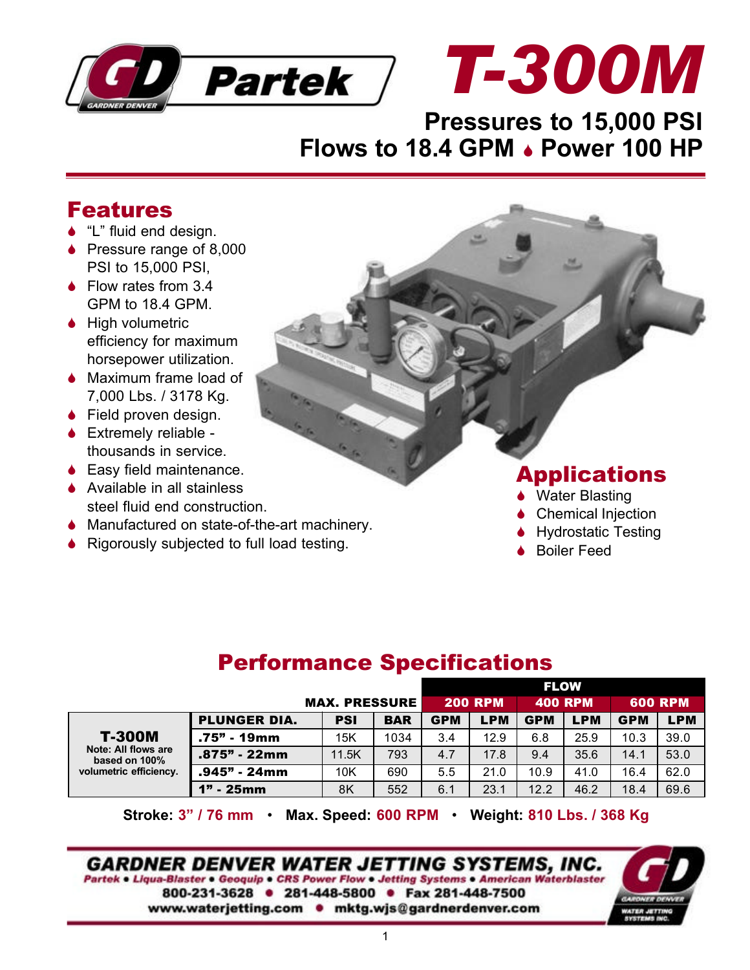

## **Pressures to 15,000 PSI Flows to 18.4 GPM . Power 100 HP**

## Features

- $\bullet$  "L" fluid end design.
- $\bullet$  Pressure range of 8,000 PSI to 15,000 PSI,
- $\bullet$  Flow rates from 3.4 GPM to 18.4 GPM.
- $\bullet$  High volumetric efficiency for maximum horsepower utilization.
- $\bullet$  Maximum frame load of 7,000 Lbs. / 3178 Kg.
- $\bullet$  Field proven design.
- $\triangle$  Extremely reliable thousands in service.
- $\bullet$  Easy field maintenance.
- $\triangle$  Available in all stainless steel fluid end construction.
- $\blacklozenge$  Manufactured on state-of-the-art machinery.
- $\bullet$  Rigorously subjected to full load testing.

## Applications

**Water Blasting** 

*T-300M*

- Chemical Injection
- **Hydrostatic Testing**
- **Boiler Feed**

## Performance Specifications

|                                                                                 |                      |            |            | <b>FLOW</b>    |            |                |            |                |            |
|---------------------------------------------------------------------------------|----------------------|------------|------------|----------------|------------|----------------|------------|----------------|------------|
|                                                                                 | <b>MAX. PRESSURE</b> |            |            | <b>200 RPM</b> |            | <b>400 RPM</b> |            | <b>600 RPM</b> |            |
| <b>T-300M</b><br>Note: All flows are<br>based on 100%<br>volumetric efficiency. | <b>PLUNGER DIA.</b>  | <b>PSI</b> | <b>BAR</b> | <b>GPM</b>     | <b>LPM</b> | <b>GPM</b>     | <b>LPM</b> | <b>GPM</b>     | <b>LPM</b> |
|                                                                                 | .75" - 19mm          | 15K        | 1034       | 3.4            | 12.9       | 6.8            | 25.9       | 10.3           | 39.0       |
|                                                                                 | .875" - 22mm         | 11.5K      | 793        | 4.7            | 17.8       | 9.4            | 35.6       | 14.1           | 53.0       |
|                                                                                 | .945" - 24mm         | 10K        | 690        | 5.5            | 21.0       | 10.9           | 41.0       | 16.4           | 62.0       |
|                                                                                 | 1" - 25mm            | 8K         | 552        | 6.1            | 23.1       | 12.2           | 46.2       | 18.4           | 69.6       |

**Stroke: 3" / 76 mm** • **Max. Speed: 600 RPM** • **Weight: 810 Lbs. / 368 Kg**

**GARDNER DENVER WATER JETTING SYSTEMS, INC.** Partek . Liqua-Blaster . Geoquip . CRS Power Flow . Jetting Systems . American Waterblaster 800-231-3628 · 281-448-5800 · Fax 281-448-7500 www.waterjetting.com • mktg.wjs@gardnerdenver.com